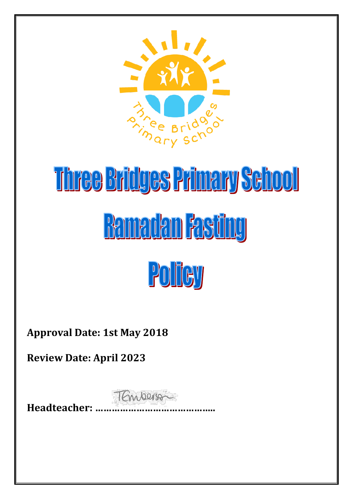

# Three Bridges Primary School **Ramadan Fasting** Policy

**Approval Date: 1st May 2018**

**Review Date: April 2023**

TEmperson **Headteacher: ……………………………………..**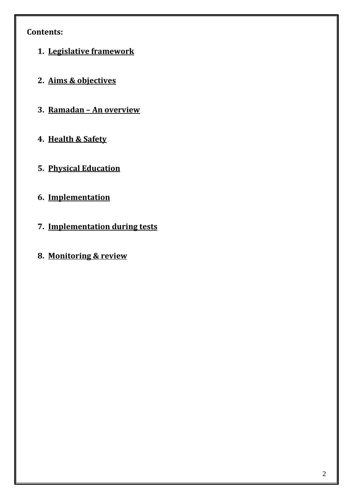# **Contents:**

- **1. Legislative framework**
- **2. Aims & objectives**
- **3. Ramadan – An overview**
- **4. Health & Safety**
- **5. Physical Education**
- **6. Implementation**
- **7. Implementation during tests**
- **8. Monitoring & review**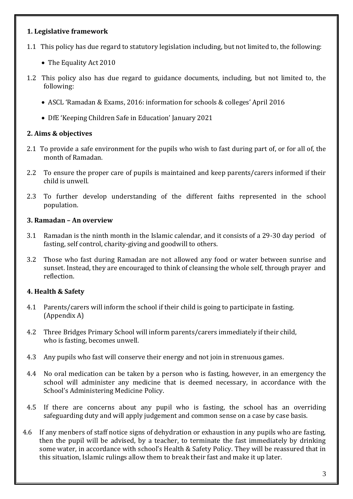#### **1. Legislative framework**

- 1.1 This policy has due regard to statutory legislation including, but not limited to, the following:
	- The Equality Act 2010
- 1.2 This policy also has due regard to guidance documents, including, but not limited to, the following:
	- ASCL 'Ramadan & Exams, 2016: information for schools & colleges' April 2016
	- DfE 'Keeping Children Safe in Education' January 2021

#### **2. Aims & objectives**

- 2.1 To provide a safe environment for the pupils who wish to fast during part of, or for all of, the month of Ramadan.
- 2.2 To ensure the proper care of pupils is maintained and keep parents/carers informed if their child is unwell.
- 2.3 To further develop understanding of the different faiths represented in the school population.

#### **3. Ramadan – An overview**

- 3.1 Ramadan is the ninth month in the Islamic calendar, and it consists of a 29-30 day period of fasting, self control, charity-giving and goodwill to others.
- 3.2 Those who fast during Ramadan are not allowed any food or water between sunrise and sunset. Instead, they are encouraged to think of cleansing the whole self, through prayer and reflection.

## **4. Health & Safety**

- 4.1 Parents/carers will inform the school if their child is going to participate in fasting. (Appendix A)
- 4.2 Three Bridges Primary School will inform parents/carers immediately if their child, who is fasting, becomes unwell.
- 4.3 Any pupils who fast will conserve their energy and not join in strenuous games.
- 4.4 No oral medication can be taken by a person who is fasting, however, in an emergency the school will administer any medicine that is deemed necessary, in accordance with the School's Administering Medicine Policy.
- 4.5 If there are concerns about any pupil who is fasting, the school has an overriding safeguarding duty and will apply judgement and common sense on a case by case basis.
- 4.6 If any menbers of staff notice signs of dehydration or exhaustion in any pupils who are fasting, then the pupil will be advised, by a teacher, to terminate the fast immediately by drinking some water, in accordance with school's Health & Safety Policy. They will be reassured that in this situation, Islamic rulings allow them to break their fast and make it up later.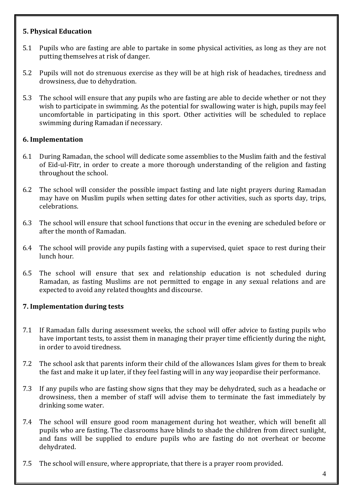#### **5. Physical Education**

- 5.1 Pupils who are fasting are able to partake in some physical activities, as long as they are not putting themselves at risk of danger.
- 5.2 Pupils will not do strenuous exercise as they will be at high risk of headaches, tiredness and drowsiness, due to dehydration.
- 5.3 The school will ensure that any pupils who are fasting are able to decide whether or not they wish to participate in swimming. As the potential for swallowing water is high, pupils may feel uncomfortable in participating in this sport. Other activities will be scheduled to replace swimming during Ramadan if necessary.

#### **6. Implementation**

- 6.1 During Ramadan, the school will dedicate some assemblies to the Muslim faith and the festival of Eid-ul-Fitr, in order to create a more thorough understanding of the religion and fasting throughout the school.
- 6.2 The school will consider the possible impact fasting and late night prayers during Ramadan may have on Muslim pupils when setting dates for other activities, such as sports day, trips, celebrations.
- 6.3 The school will ensure that school functions that occur in the evening are scheduled before or after the month of Ramadan.
- 6.4 The school will provide any pupils fasting with a supervised, quiet space to rest during their lunch hour.
- 6.5 The school will ensure that sex and relationship education is not scheduled during Ramadan, as fasting Muslims are not permitted to engage in any sexual relations and are expected to avoid any related thoughts and discourse.

## **7. Implementation during tests**

- 7.1 If Ramadan falls during assessment weeks, the school will offer advice to fasting pupils who have important tests, to assist them in managing their prayer time efficiently during the night, in order to avoid tiredness.
- 7.2 The school ask that parents inform their child of the allowances Islam gives for them to break the fast and make it up later, if they feel fasting will in any way jeopardise their performance.
- 7.3 If any pupils who are fasting show signs that they may be dehydrated, such as a headache or drowsiness, then a member of staff will advise them to terminate the fast immediately by drinking some water.
- 7.4 The school will ensure good room management during hot weather, which will benefit all pupils who are fasting. The classrooms have blinds to shade the children from direct sunlight, and fans will be supplied to endure pupils who are fasting do not overheat or become dehydrated.
- 7.5 The school will ensure, where appropriate, that there is a prayer room provided.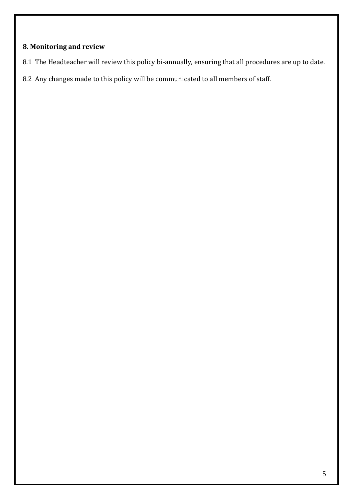## **8. Monitoring and review**

- 8.1 The Headteacher will review this policy bi-annually, ensuring that all procedures are up to date.
- 8.2 Any changes made to this policy will be communicated to all members of staff.